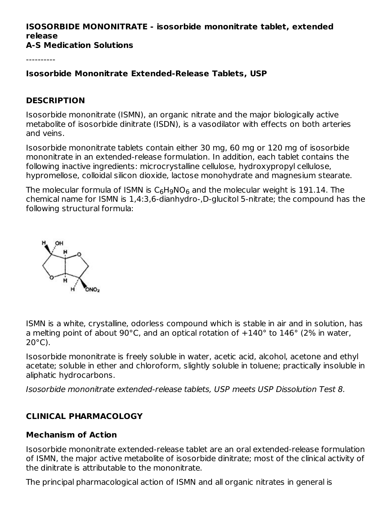# **ISOSORBIDE MONONITRATE - isosorbide mononitrate tablet, extended release**

**A-S Medication Solutions**

----------

**Isosorbide Mononitrate Extended-Release Tablets, USP**

### **DESCRIPTION**

Isosorbide mononitrate (ISMN), an organic nitrate and the major biologically active metabolite of isosorbide dinitrate (ISDN), is a vasodilator with effects on both arteries and veins.

Isosorbide mononitrate tablets contain either 30 mg, 60 mg or 120 mg of isosorbide mononitrate in an extended-release formulation. In addition, each tablet contains the following inactive ingredients: microcrystalline cellulose, hydroxypropyl cellulose, hypromellose, colloidal silicon dioxide, lactose monohydrate and magnesium stearate.

The molecular formula of ISMN is  $\mathsf{C}_6\mathsf{H}_9\mathsf{NO}_6$  and the molecular weight is 191.14. The chemical name for ISMN is 1,4:3,6-dianhydro-,D-glucitol 5-nitrate; the compound has the following structural formula:



ISMN is a white, crystalline, odorless compound which is stable in air and in solution, has a melting point of about 90 $^{\circ}$ C, and an optical rotation of  $+140^{\circ}$  to 146 $^{\circ}$  (2% in water, 20°C).

Isosorbide mononitrate is freely soluble in water, acetic acid, alcohol, acetone and ethyl acetate; soluble in ether and chloroform, slightly soluble in toluene; practically insoluble in aliphatic hydrocarbons.

Isosorbide mononitrate extended-release tablets, USP meets USP Dissolution Test 8.

# **CLINICAL PHARMACOLOGY**

### **Mechanism of Action**

Isosorbide mononitrate extended-release tablet are an oral extended-release formulation of ISMN, the major active metabolite of isosorbide dinitrate; most of the clinical activity of the dinitrate is attributable to the mononitrate.

The principal pharmacological action of ISMN and all organic nitrates in general is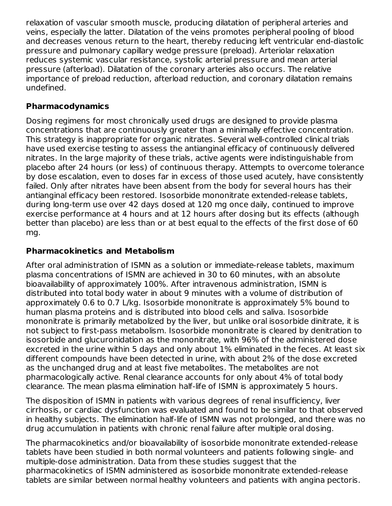relaxation of vascular smooth muscle, producing dilatation of peripheral arteries and veins, especially the latter. Dilatation of the veins promotes peripheral pooling of blood and decreases venous return to the heart, thereby reducing left ventricular end-diastolic pressure and pulmonary capillary wedge pressure (preload). Arteriolar relaxation reduces systemic vascular resistance, systolic arterial pressure and mean arterial pressure (afterload). Dilatation of the coronary arteries also occurs. The relative importance of preload reduction, afterload reduction, and coronary dilatation remains undefined.

## **Pharmacodynamics**

Dosing regimens for most chronically used drugs are designed to provide plasma concentrations that are continuously greater than a minimally effective concentration. This strategy is inappropriate for organic nitrates. Several well-controlled clinical trials have used exercise testing to assess the antianginal efficacy of continuously delivered nitrates. In the large majority of these trials, active agents were indistinguishable from placebo after 24 hours (or less) of continuous therapy. Attempts to overcome tolerance by dose escalation, even to doses far in excess of those used acutely, have consistently failed. Only after nitrates have been absent from the body for several hours has their antianginal efficacy been restored. Isosorbide mononitrate extended-release tablets, during long-term use over 42 days dosed at 120 mg once daily, continued to improve exercise performance at 4 hours and at 12 hours after dosing but its effects (although better than placebo) are less than or at best equal to the effects of the first dose of 60 mg.

### **Pharmacokinetics and Metabolism**

After oral administration of ISMN as a solution or immediate-release tablets, maximum plasma concentrations of ISMN are achieved in 30 to 60 minutes, with an absolute bioavailability of approximately 100%. After intravenous administration, ISMN is distributed into total body water in about 9 minutes with a volume of distribution of approximately 0.6 to 0.7 L/kg. Isosorbide mononitrate is approximately 5% bound to human plasma proteins and is distributed into blood cells and saliva. Isosorbide mononitrate is primarily metabolized by the liver, but unlike oral isosorbide dinitrate, it is not subject to first-pass metabolism. Isosorbide mononitrate is cleared by denitration to isosorbide and glucuronidation as the mononitrate, with 96% of the administered dose excreted in the urine within 5 days and only about 1% eliminated in the feces. At least six different compounds have been detected in urine, with about 2% of the dose excreted as the unchanged drug and at least five metabolites. The metabolites are not pharmacologically active. Renal clearance accounts for only about 4% of total body clearance. The mean plasma elimination half-life of ISMN is approximately 5 hours.

The disposition of ISMN in patients with various degrees of renal insufficiency, liver cirrhosis, or cardiac dysfunction was evaluated and found to be similar to that observed in healthy subjects. The elimination half-life of ISMN was not prolonged, and there was no drug accumulation in patients with chronic renal failure after multiple oral dosing.

The pharmacokinetics and/or bioavailability of isosorbide mononitrate extended-release tablets have been studied in both normal volunteers and patients following single- and multiple-dose administration. Data from these studies suggest that the pharmacokinetics of ISMN administered as isosorbide mononitrate extended-release tablets are similar between normal healthy volunteers and patients with angina pectoris.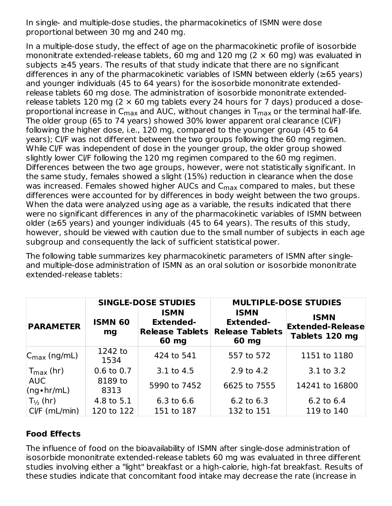In single- and multiple-dose studies, the pharmacokinetics of ISMN were dose proportional between 30 mg and 240 mg.

In a multiple-dose study, the effect of age on the pharmacokinetic profile of isosorbide mononitrate extended-release tablets, 60 mg and 120 mg ( $2 \times 60$  mg) was evaluated in subjects ≥45 years. The results of that study indicate that there are no significant differences in any of the pharmacokinetic variables of ISMN between elderly (≥65 years) and younger individuals (45 to 64 years) for the isosorbide mononitrate extendedrelease tablets 60 mg dose. The administration of isosorbide mononitrate extendedrelease tablets 120 mg ( $2 \times 60$  mg tablets every 24 hours for 7 days) produced a doseproportional increase in C<sub>max</sub> and AUC, without changes in T<sub>max</sub> or the terminal half-life. The older group (65 to 74 years) showed 30% lower apparent oral clearance (Cl/F) following the higher dose, i.e., 120 mg, compared to the younger group (45 to 64 years); Cl/F was not different between the two groups following the 60 mg regimen. While Cl/F was independent of dose in the younger group, the older group showed slightly lower Cl/F following the 120 mg regimen compared to the 60 mg regimen. Differences between the two age groups, however, were not statistically significant. In the same study, females showed a slight (15%) reduction in clearance when the dose was increased. Females showed higher AUCs and C<sub>max</sub> compared to males, but these differences were accounted for by differences in body weight between the two groups. When the data were analyzed using age as a variable, the results indicated that there were no significant differences in any of the pharmacokinetic variables of ISMN between older ( $\geq$ 65 years) and younger individuals (45 to 64 years). The results of this study, however, should be viewed with caution due to the small number of subjects in each age subgroup and consequently the lack of sufficient statistical power.

The following table summarizes key pharmacokinetic parameters of ISMN after singleand multiple-dose administration of ISMN as an oral solution or isosorbide mononitrate extended-release tablets:

|                                  | <b>SINGLE-DOSE STUDIES</b> |                                                                    |                                                                    | <b>MULTIPLE-DOSE STUDIES</b>                             |  |  |  |  |
|----------------------------------|----------------------------|--------------------------------------------------------------------|--------------------------------------------------------------------|----------------------------------------------------------|--|--|--|--|
| <b>PARAMETER</b>                 | <b>ISMN 60</b><br>mg       | <b>ISMN</b><br><b>Extended-</b><br><b>Release Tablets</b><br>60 mg | <b>ISMN</b><br><b>Extended-</b><br><b>Release Tablets</b><br>60 mg | <b>ISMN</b><br><b>Extended-Release</b><br>Tablets 120 mg |  |  |  |  |
| $ C_{\text{max}}(ng/mL) $        | 1242 to<br>1534            | 424 to 541                                                         | 557 to 572                                                         | 1151 to 1180                                             |  |  |  |  |
| $T_{\text{max}}$ (hr)            | $0.6$ to $0.7$             | 3.1 to 4.5                                                         | 2.9 to 4.2                                                         | 3.1 to 3.2                                               |  |  |  |  |
| <b>AUC</b><br>$(nq \cdot hr/mL)$ | 8189 to<br>8313            | 5990 to 7452                                                       | 6625 to 7555                                                       | 14241 to 16800                                           |  |  |  |  |
| $T_{\frac{1}{2}}$ (hr)           | 4.8 to 5.1                 | $6.3$ to $6.6$                                                     | $6.2$ to $6.3$                                                     | 6.2 to $6.4$                                             |  |  |  |  |
| $C/F$ (mL/min)                   | 120 to 122                 | 151 to 187                                                         | 132 to 151                                                         | 119 to 140                                               |  |  |  |  |

## **Food Effects**

The influence of food on the bioavailability of ISMN after single-dose administration of isosorbide mononitrate extended-release tablets 60 mg was evaluated in three different studies involving either a "light" breakfast or a high-calorie, high-fat breakfast. Results of these studies indicate that concomitant food intake may decrease the rate (increase in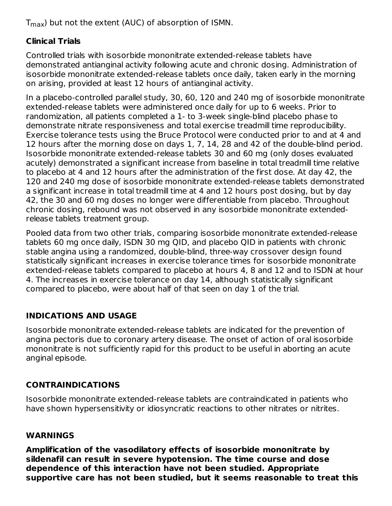$\mathsf{T}_{\mathsf{max}}$ ) but not the extent (AUC) of absorption of ISMN.

# **Clinical Trials**

Controlled trials with isosorbide mononitrate extended-release tablets have demonstrated antianginal activity following acute and chronic dosing. Administration of isosorbide mononitrate extended-release tablets once daily, taken early in the morning on arising, provided at least 12 hours of antianginal activity.

In a placebo-controlled parallel study, 30, 60, 120 and 240 mg of isosorbide mononitrate extended-release tablets were administered once daily for up to 6 weeks. Prior to randomization, all patients completed a 1- to 3-week single-blind placebo phase to demonstrate nitrate responsiveness and total exercise treadmill time reproducibility. Exercise tolerance tests using the Bruce Protocol were conducted prior to and at 4 and 12 hours after the morning dose on days 1, 7, 14, 28 and 42 of the double-blind period. Isosorbide mononitrate extended-release tablets 30 and 60 mg (only doses evaluated acutely) demonstrated a significant increase from baseline in total treadmill time relative to placebo at 4 and 12 hours after the administration of the first dose. At day 42, the 120 and 240 mg dose of isosorbide mononitrate extended-release tablets demonstrated a significant increase in total treadmill time at 4 and 12 hours post dosing, but by day 42, the 30 and 60 mg doses no longer were differentiable from placebo. Throughout chronic dosing, rebound was not observed in any isosorbide mononitrate extendedrelease tablets treatment group.

Pooled data from two other trials, comparing isosorbide mononitrate extended-release tablets 60 mg once daily, ISDN 30 mg QID, and placebo QID in patients with chronic stable angina using a randomized, double-blind, three-way crossover design found statistically significant increases in exercise tolerance times for isosorbide mononitrate extended-release tablets compared to placebo at hours 4, 8 and 12 and to ISDN at hour 4. The increases in exercise tolerance on day 14, although statistically significant compared to placebo, were about half of that seen on day 1 of the trial.

# **INDICATIONS AND USAGE**

Isosorbide mononitrate extended-release tablets are indicated for the prevention of angina pectoris due to coronary artery disease. The onset of action of oral isosorbide mononitrate is not sufficiently rapid for this product to be useful in aborting an acute anginal episode.

# **CONTRAINDICATIONS**

Isosorbide mononitrate extended-release tablets are contraindicated in patients who have shown hypersensitivity or idiosyncratic reactions to other nitrates or nitrites.

## **WARNINGS**

**Amplification of the vasodilatory effects of isosorbide mononitrate by sildenafil can result in severe hypotension. The time course and dose dependence of this interaction have not been studied. Appropriate supportive care has not been studied, but it seems reasonable to treat this**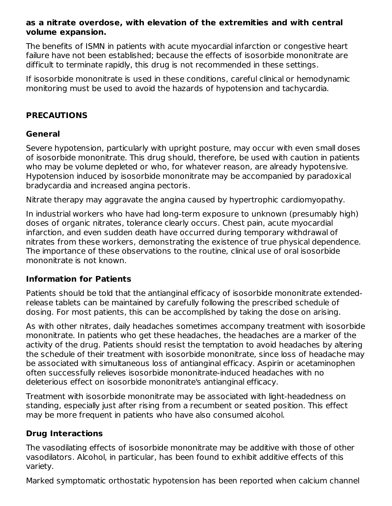### **as a nitrate overdose, with elevation of the extremities and with central volume expansion.**

The benefits of ISMN in patients with acute myocardial infarction or congestive heart failure have not been established; because the effects of isosorbide mononitrate are difficult to terminate rapidly, this drug is not recommended in these settings.

If isosorbide mononitrate is used in these conditions, careful clinical or hemodynamic monitoring must be used to avoid the hazards of hypotension and tachycardia.

### **PRECAUTIONS**

### **General**

Severe hypotension, particularly with upright posture, may occur with even small doses of isosorbide mononitrate. This drug should, therefore, be used with caution in patients who may be volume depleted or who, for whatever reason, are already hypotensive. Hypotension induced by isosorbide mononitrate may be accompanied by paradoxical bradycardia and increased angina pectoris.

Nitrate therapy may aggravate the angina caused by hypertrophic cardiomyopathy.

In industrial workers who have had long-term exposure to unknown (presumably high) doses of organic nitrates, tolerance clearly occurs. Chest pain, acute myocardial infarction, and even sudden death have occurred during temporary withdrawal of nitrates from these workers, demonstrating the existence of true physical dependence. The importance of these observations to the routine, clinical use of oral isosorbide mononitrate is not known.

### **Information for Patients**

Patients should be told that the antianginal efficacy of isosorbide mononitrate extendedrelease tablets can be maintained by carefully following the prescribed schedule of dosing. For most patients, this can be accomplished by taking the dose on arising.

As with other nitrates, daily headaches sometimes accompany treatment with isosorbide mononitrate. In patients who get these headaches, the headaches are a marker of the activity of the drug. Patients should resist the temptation to avoid headaches by altering the schedule of their treatment with isosorbide mononitrate, since loss of headache may be associated with simultaneous loss of antianginal efficacy. Aspirin or acetaminophen often successfully relieves isosorbide mononitrate-induced headaches with no deleterious effect on isosorbide mononitrate's antianginal efficacy.

Treatment with isosorbide mononitrate may be associated with light-headedness on standing, especially just after rising from a recumbent or seated position. This effect may be more frequent in patients who have also consumed alcohol.

## **Drug Interactions**

The vasodilating effects of isosorbide mononitrate may be additive with those of other vasodilators. Alcohol, in particular, has been found to exhibit additive effects of this variety.

Marked symptomatic orthostatic hypotension has been reported when calcium channel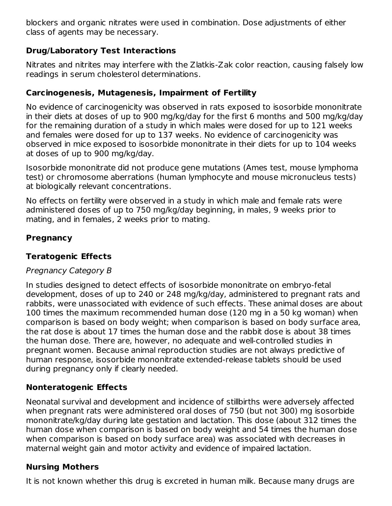blockers and organic nitrates were used in combination. Dose adjustments of either class of agents may be necessary.

## **Drug/Laboratory Test Interactions**

Nitrates and nitrites may interfere with the Zlatkis-Zak color reaction, causing falsely low readings in serum cholesterol determinations.

# **Carcinogenesis, Mutagenesis, Impairment of Fertility**

No evidence of carcinogenicity was observed in rats exposed to isosorbide mononitrate in their diets at doses of up to 900 mg/kg/day for the first 6 months and 500 mg/kg/day for the remaining duration of a study in which males were dosed for up to 121 weeks and females were dosed for up to 137 weeks. No evidence of carcinogenicity was observed in mice exposed to isosorbide mononitrate in their diets for up to 104 weeks at doses of up to 900 mg/kg/day.

Isosorbide mononitrate did not produce gene mutations (Ames test, mouse lymphoma test) or chromosome aberrations (human lymphocyte and mouse micronucleus tests) at biologically relevant concentrations.

No effects on fertility were observed in a study in which male and female rats were administered doses of up to 750 mg/kg/day beginning, in males, 9 weeks prior to mating, and in females, 2 weeks prior to mating.

# **Pregnancy**

# **Teratogenic Effects**

## Pregnancy Category B

In studies designed to detect effects of isosorbide mononitrate on embryo-fetal development, doses of up to 240 or 248 mg/kg/day, administered to pregnant rats and rabbits, were unassociated with evidence of such effects. These animal doses are about 100 times the maximum recommended human dose (120 mg in a 50 kg woman) when comparison is based on body weight; when comparison is based on body surface area, the rat dose is about 17 times the human dose and the rabbit dose is about 38 times the human dose. There are, however, no adequate and well-controlled studies in pregnant women. Because animal reproduction studies are not always predictive of human response, isosorbide mononitrate extended-release tablets should be used during pregnancy only if clearly needed.

# **Nonteratogenic Effects**

Neonatal survival and development and incidence of stillbirths were adversely affected when pregnant rats were administered oral doses of 750 (but not 300) mg isosorbide mononitrate/kg/day during late gestation and lactation. This dose (about 312 times the human dose when comparison is based on body weight and 54 times the human dose when comparison is based on body surface area) was associated with decreases in maternal weight gain and motor activity and evidence of impaired lactation.

# **Nursing Mothers**

It is not known whether this drug is excreted in human milk. Because many drugs are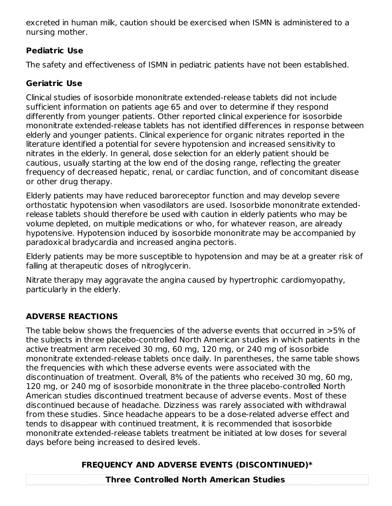excreted in human milk, caution should be exercised when ISMN is administered to a nursing mother.

## **Pediatric Use**

The safety and effectiveness of ISMN in pediatric patients have not been established.

## **Geriatric Use**

Clinical studies of isosorbide mononitrate extended-release tablets did not include sufficient information on patients age 65 and over to determine if they respond differently from younger patients. Other reported clinical experience for isosorbide mononitrate extended-release tablets has not identified differences in response between elderly and younger patients. Clinical experience for organic nitrates reported in the literature identified a potential for severe hypotension and increased sensitivity to nitrates in the elderly. In general, dose selection for an elderly patient should be cautious, usually starting at the low end of the dosing range, reflecting the greater frequency of decreased hepatic, renal, or cardiac function, and of concomitant disease or other drug therapy.

Elderly patients may have reduced baroreceptor function and may develop severe orthostatic hypotension when vasodilators are used. Isosorbide mononitrate extendedrelease tablets should therefore be used with caution in elderly patients who may be volume depleted, on multiple medications or who, for whatever reason, are already hypotensive. Hypotension induced by isosorbide mononitrate may be accompanied by paradoxical bradycardia and increased angina pectoris.

Elderly patients may be more susceptible to hypotension and may be at a greater risk of falling at therapeutic doses of nitroglycerin.

Nitrate therapy may aggravate the angina caused by hypertrophic cardiomyopathy, particularly in the elderly.

# **ADVERSE REACTIONS**

The table below shows the frequencies of the adverse events that occurred in >5% of the subjects in three placebo-controlled North American studies in which patients in the active treatment arm received 30 mg, 60 mg, 120 mg, or 240 mg of isosorbide mononitrate extended-release tablets once daily. In parentheses, the same table shows the frequencies with which these adverse events were associated with the discontinuation of treatment. Overall, 8% of the patients who received 30 mg, 60 mg, 120 mg, or 240 mg of isosorbide mononitrate in the three placebo-controlled North American studies discontinued treatment because of adverse events. Most of these discontinued because of headache. Dizziness was rarely associated with withdrawal from these studies. Since headache appears to be a dose-related adverse effect and tends to disappear with continued treatment, it is recommended that isosorbide mononitrate extended-release tablets treatment be initiated at low doses for several days before being increased to desired levels.

# **FREQUENCY AND ADVERSE EVENTS (DISCONTINUED)\***

**Three Controlled North American Studies**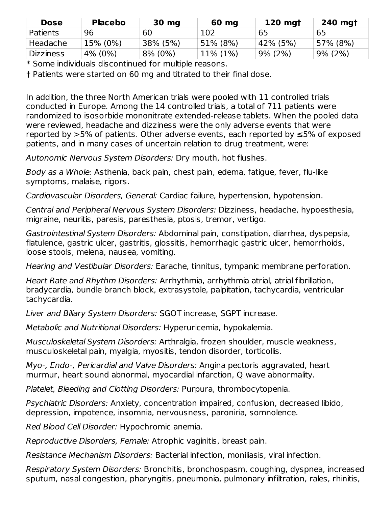| <b>Dose</b> | <b>Placebo</b> | 30 mg      | 60 mg    | 120 mgt    | 240 mgt    |
|-------------|----------------|------------|----------|------------|------------|
| Patients    | 96             | 60         | 102      | 65         | 65         |
| l Headache  | 15% (0%)       | 38% (5%)   | 51% (8%) | 42% (5%)   | 57% (8%)   |
| Dizziness   | $4\%$ (0%)     | $8\%$ (0%) | 11% (1%) | $9\%$ (2%) | $9\%$ (2%) |

\* Some individuals discontinued for multiple reasons.

† Patients were started on 60 mg and titrated to their final dose.

In addition, the three North American trials were pooled with 11 controlled trials conducted in Europe. Among the 14 controlled trials, a total of 711 patients were randomized to isosorbide mononitrate extended-release tablets. When the pooled data were reviewed, headache and dizziness were the only adverse events that were reported by >5% of patients. Other adverse events, each reported by ≤5% of exposed patients, and in many cases of uncertain relation to drug treatment, were:

Autonomic Nervous System Disorders: Dry mouth, hot flushes.

Body as a Whole: Asthenia, back pain, chest pain, edema, fatigue, fever, flu-like symptoms, malaise, rigors.

Cardiovascular Disorders, General: Cardiac failure, hypertension, hypotension.

Central and Peripheral Nervous System Disorders: Dizziness, headache, hypoesthesia, migraine, neuritis, paresis, paresthesia, ptosis, tremor, vertigo.

Gastrointestinal System Disorders: Abdominal pain, constipation, diarrhea, dyspepsia, flatulence, gastric ulcer, gastritis, glossitis, hemorrhagic gastric ulcer, hemorrhoids, loose stools, melena, nausea, vomiting.

Hearing and Vestibular Disorders: Earache, tinnitus, tympanic membrane perforation.

Heart Rate and Rhythm Disorders: Arrhythmia, arrhythmia atrial, atrial fibrillation, bradycardia, bundle branch block, extrasystole, palpitation, tachycardia, ventricular tachycardia.

Liver and Biliary System Disorders: SGOT increase, SGPT increase.

Metabolic and Nutritional Disorders: Hyperuricemia, hypokalemia.

Musculoskeletal System Disorders: Arthralgia, frozen shoulder, muscle weakness, musculoskeletal pain, myalgia, myositis, tendon disorder, torticollis.

Myo-, Endo-, Pericardial and Valve Disorders: Angina pectoris aggravated, heart murmur, heart sound abnormal, myocardial infarction, Q wave abnormality.

Platelet, Bleeding and Clotting Disorders: Purpura, thrombocytopenia.

Psychiatric Disorders: Anxiety, concentration impaired, confusion, decreased libido, depression, impotence, insomnia, nervousness, paroniria, somnolence.

Red Blood Cell Disorder: Hypochromic anemia.

Reproductive Disorders, Female: Atrophic vaginitis, breast pain.

Resistance Mechanism Disorders: Bacterial infection, moniliasis, viral infection.

Respiratory System Disorders: Bronchitis, bronchospasm, coughing, dyspnea, increased sputum, nasal congestion, pharyngitis, pneumonia, pulmonary infiltration, rales, rhinitis,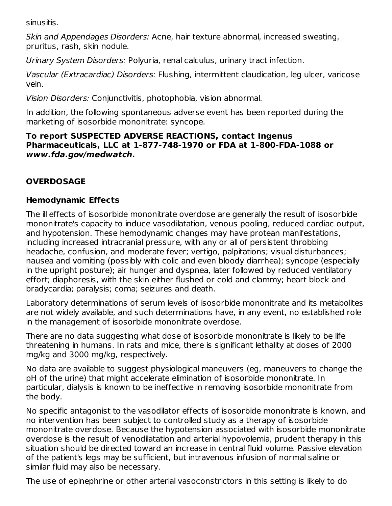sinusitis.

Skin and Appendages Disorders: Acne, hair texture abnormal, increased sweating, pruritus, rash, skin nodule.

Urinary System Disorders: Polyuria, renal calculus, urinary tract infection.

Vascular (Extracardiac) Disorders: Flushing, intermittent claudication, leg ulcer, varicose vein.

Vision Disorders: Conjunctivitis, photophobia, vision abnormal.

In addition, the following spontaneous adverse event has been reported during the marketing of isosorbide mononitrate: syncope.

#### **To report SUSPECTED ADVERSE REACTIONS, contact Ingenus Pharmaceuticals, LLC at 1-877-748-1970 or FDA at 1-800-FDA-1088 or www.fda.gov/medwatch.**

# **OVERDOSAGE**

## **Hemodynamic Effects**

The ill effects of isosorbide mononitrate overdose are generally the result of isosorbide mononitrate's capacity to induce vasodilatation, venous pooling, reduced cardiac output, and hypotension. These hemodynamic changes may have protean manifestations, including increased intracranial pressure, with any or all of persistent throbbing headache, confusion, and moderate fever; vertigo, palpitations; visual disturbances; nausea and vomiting (possibly with colic and even bloody diarrhea); syncope (especially in the upright posture); air hunger and dyspnea, later followed by reduced ventilatory effort; diaphoresis, with the skin either flushed or cold and clammy; heart block and bradycardia; paralysis; coma; seizures and death.

Laboratory determinations of serum levels of isosorbide mononitrate and its metabolites are not widely available, and such determinations have, in any event, no established role in the management of isosorbide mononitrate overdose.

There are no data suggesting what dose of isosorbide mononitrate is likely to be life threatening in humans. In rats and mice, there is significant lethality at doses of 2000 mg/kg and 3000 mg/kg, respectively.

No data are available to suggest physiological maneuvers (eg, maneuvers to change the pH of the urine) that might accelerate elimination of isosorbide mononitrate. In particular, dialysis is known to be ineffective in removing isosorbide mononitrate from the body.

No specific antagonist to the vasodilator effects of isosorbide mononitrate is known, and no intervention has been subject to controlled study as a therapy of isosorbide mononitrate overdose. Because the hypotension associated with isosorbide mononitrate overdose is the result of venodilatation and arterial hypovolemia, prudent therapy in this situation should be directed toward an increase in central fluid volume. Passive elevation of the patient's legs may be sufficient, but intravenous infusion of normal saline or similar fluid may also be necessary.

The use of epinephrine or other arterial vasoconstrictors in this setting is likely to do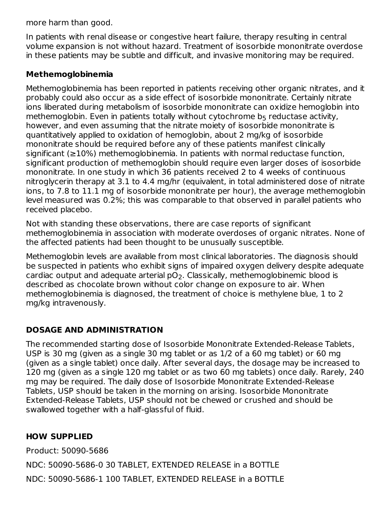more harm than good.

In patients with renal disease or congestive heart failure, therapy resulting in central volume expansion is not without hazard. Treatment of isosorbide mononitrate overdose in these patients may be subtle and difficult, and invasive monitoring may be required.

### **Methemoglobinemia**

Methemoglobinemia has been reported in patients receiving other organic nitrates, and it probably could also occur as a side effect of isosorbide mononitrate. Certainly nitrate ions liberated during metabolism of isosorbide mononitrate can oxidize hemoglobin into methemoglobin. Even in patients totally without cytochrome  $\mathsf{b}_5$  reductase activity, however, and even assuming that the nitrate moiety of isosorbide mononitrate is quantitatively applied to oxidation of hemoglobin, about 2 mg/kg of isosorbide mononitrate should be required before any of these patients manifest clinically significant (≥10%) methemoglobinemia. In patients with normal reductase function, significant production of methemoglobin should require even larger doses of isosorbide mononitrate. In one study in which 36 patients received 2 to 4 weeks of continuous nitroglycerin therapy at 3.1 to 4.4 mg/hr (equivalent, in total administered dose of nitrate ions, to 7.8 to 11.1 mg of isosorbide mononitrate per hour), the average methemoglobin level measured was 0.2%; this was comparable to that observed in parallel patients who received placebo.

Not with standing these observations, there are case reports of significant methemoglobinemia in association with moderate overdoses of organic nitrates. None of the affected patients had been thought to be unusually susceptible.

Methemoglobin levels are available from most clinical laboratories. The diagnosis should be suspected in patients who exhibit signs of impaired oxygen delivery despite adequate cardiac output and adequate arterial  $\tt pO_2.$  Classically, methemoglobinemic blood is described as chocolate brown without color change on exposure to air. When methemoglobinemia is diagnosed, the treatment of choice is methylene blue, 1 to 2 mg/kg intravenously.

## **DOSAGE AND ADMINISTRATION**

The recommended starting dose of Isosorbide Mononitrate Extended-Release Tablets, USP is 30 mg (given as a single 30 mg tablet or as 1/2 of a 60 mg tablet) or 60 mg (given as a single tablet) once daily. After several days, the dosage may be increased to 120 mg (given as a single 120 mg tablet or as two 60 mg tablets) once daily. Rarely, 240 mg may be required. The daily dose of Isosorbide Mononitrate Extended-Release Tablets, USP should be taken in the morning on arising. Isosorbide Mononitrate Extended-Release Tablets, USP should not be chewed or crushed and should be swallowed together with a half-glassful of fluid.

## **HOW SUPPLIED**

Product: 50090-5686 NDC: 50090-5686-0 30 TABLET, EXTENDED RELEASE in a BOTTLE NDC: 50090-5686-1 100 TABLET, EXTENDED RELEASE in a BOTTLE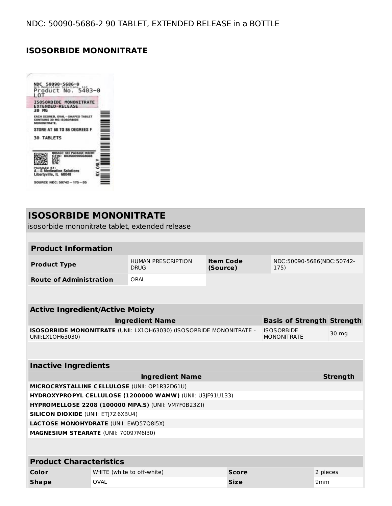# **ISOSORBIDE MONONITRATE**

| NDC 50090-5686-0<br>A-5 Medication Solutions,                                                |  |
|----------------------------------------------------------------------------------------------|--|
| Product No.<br>5403-0<br>LOT                                                                 |  |
| ISOSORBIDE MONONITRATE<br><b>EXTENDED-RELEASE</b><br>30 MG                                   |  |
| EACH SCORED, OVAL - SHAPED TABLET<br><b>CONTAINS 30 MG ISOSORBIDE</b><br><b>MONONITRATE.</b> |  |
| STORE AT 68 TO 86 DEGREES F                                                                  |  |
| <b>30 TABLETS</b>                                                                            |  |
| 00350090568608                                                                               |  |
| PACKAGED<br>A-S Medication Solutions<br>Libertyville, IL 60048                               |  |
| SOURCE NDC: 50742 - 175 - 05                                                                 |  |

| <b>ISOSORBIDE MONONITRATE</b><br>isosorbide mononitrate tablet, extended release                                                   |                                                     |                                          |  |                                      |  |                                   |                           |  |
|------------------------------------------------------------------------------------------------------------------------------------|-----------------------------------------------------|------------------------------------------|--|--------------------------------------|--|-----------------------------------|---------------------------|--|
|                                                                                                                                    |                                                     |                                          |  |                                      |  |                                   |                           |  |
| <b>Product Information</b>                                                                                                         |                                                     |                                          |  |                                      |  |                                   |                           |  |
| <b>Product Type</b>                                                                                                                |                                                     | <b>HUMAN PRESCRIPTION</b><br><b>DRUG</b> |  | <b>Item Code</b><br>(Source)<br>175) |  |                                   | NDC:50090-5686(NDC:50742- |  |
| <b>Route of Administration</b>                                                                                                     |                                                     | ORAL                                     |  |                                      |  |                                   |                           |  |
|                                                                                                                                    |                                                     |                                          |  |                                      |  |                                   |                           |  |
|                                                                                                                                    |                                                     |                                          |  |                                      |  |                                   |                           |  |
| <b>Active Ingredient/Active Moiety</b>                                                                                             |                                                     |                                          |  |                                      |  |                                   |                           |  |
|                                                                                                                                    |                                                     | <b>Ingredient Name</b>                   |  |                                      |  | <b>Basis of Strength Strength</b> |                           |  |
| ISOSORBIDE MONONITRATE (UNII: LX10H63030) (ISOSORBIDE MONONITRATE -<br><b>ISOSORBIDE</b><br>UNII:LX1OH63030)<br><b>MONONITRATE</b> |                                                     |                                          |  |                                      |  |                                   | 30 mg                     |  |
|                                                                                                                                    |                                                     |                                          |  |                                      |  |                                   |                           |  |
| <b>Inactive Ingredients</b>                                                                                                        |                                                     |                                          |  |                                      |  |                                   |                           |  |
| <b>Ingredient Name</b>                                                                                                             |                                                     |                                          |  |                                      |  | <b>Strength</b>                   |                           |  |
| MICROCRYSTALLINE CELLULOSE (UNII: OP1R32D61U)                                                                                      |                                                     |                                          |  |                                      |  |                                   |                           |  |
| HYDROXYPROPYL CELLULOSE (1200000 WAMW) (UNII: U3 F91U133)                                                                          |                                                     |                                          |  |                                      |  |                                   |                           |  |
|                                                                                                                                    | HYPROMELLOSE 2208 (100000 MPA.S) (UNII: VM7F0B23ZI) |                                          |  |                                      |  |                                   |                           |  |
| <b>SILICON DIOXIDE (UNII: ETJ7Z6XBU4)</b>                                                                                          |                                                     |                                          |  |                                      |  |                                   |                           |  |
| LACTOSE MONOHYDRATE (UNII: EWQ57Q8I5X)                                                                                             |                                                     |                                          |  |                                      |  |                                   |                           |  |
| MAGNESIUM STEARATE (UNII: 70097M6I30)                                                                                              |                                                     |                                          |  |                                      |  |                                   |                           |  |
|                                                                                                                                    |                                                     |                                          |  |                                      |  |                                   |                           |  |
| <b>Product Characteristics</b>                                                                                                     |                                                     |                                          |  |                                      |  |                                   |                           |  |
| Color                                                                                                                              |                                                     | WHITE (white to off-white)               |  | <b>Score</b>                         |  |                                   | 2 pieces                  |  |
| <b>Shape</b>                                                                                                                       | <b>OVAL</b>                                         |                                          |  | <b>Size</b>                          |  |                                   | 9 <sub>mm</sub>           |  |
|                                                                                                                                    |                                                     |                                          |  |                                      |  |                                   |                           |  |